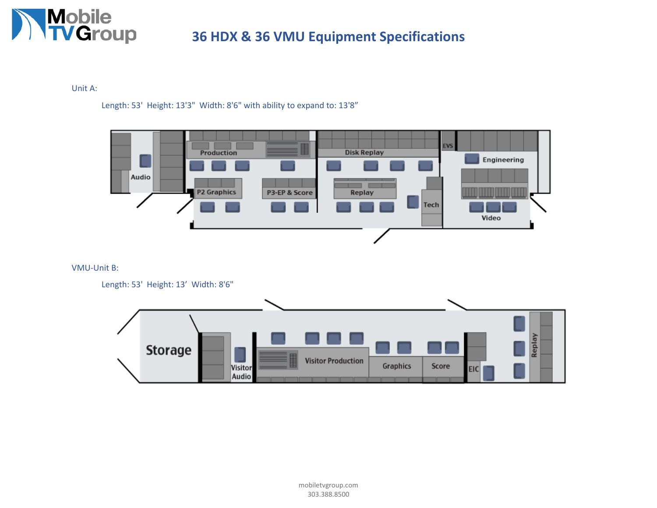

Unit A:

Length: 53' Height: 13'3" Width: 8'6" with ability to expand to: 13'8"



VMU-Unit B:

Length: 53' Height: 13' Width: 8'6"

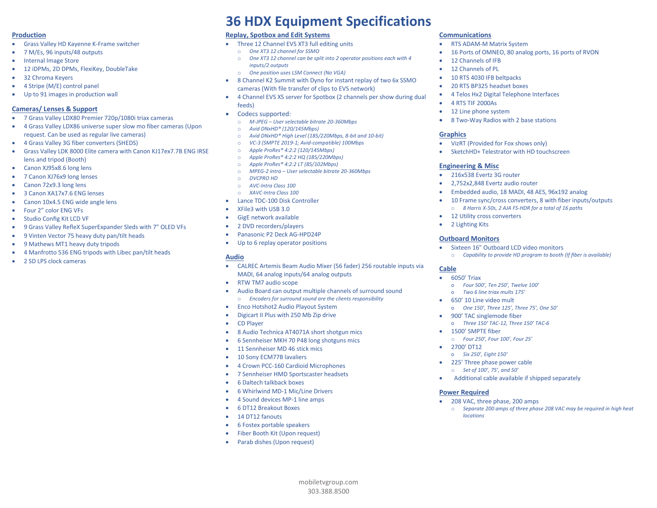### **Production**

- Grass Valley HD Kayenne K-Frame switcher
- 7 M/Es, 96 inputs/48 outputs
- Internal Image Store
- 12 iDPMs, 2D DPMs, FlexiKey, DoubleTake
- 32 Chroma Keyers
- 4 Stripe (M/E) control panel
- Up to 91 images in production wall

# **Cameras/ Lenses & Support**

- 7 Grass Valley LDX80 Premier 720p/1080i triax cameras
- 4 Grass Valley LDX86 universe super slow mo fiber cameras (Upon request. Can be used as regular live cameras)
- 4 Grass Valley 3G fiber converters (SHEDS)
- Grass Valley LDK 8000 Elite camera with Canon KJ17ex7.7B ENG IRSE lens and tripod (Booth)
- Canon XJ95x8.6 long lens
- 7 Canon XJ76x9 long lenses
- Canon 72x9.3 long lens
- 3 Canon XA17x7.6 ENG lenses
- Canon 10x4.5 ENG wide angle lens
- Four 2" color ENG VFs
- Studio Config Kit LCD VF
- 9 Grass Valley RefleX SuperExpander Sleds with 7" OLED VFs
- 9 Vinten Vector 75 heavy duty pan/tilt heads
- 9 Mathews MT1 heavy duty tripods
- 4 Manfrotto 536 ENG tripods with Libec pan/tilt heads
- 2 SD LPS clock cameras

# **36 HDX Equipment Specifications**

# **Replay, Spotbox and Edit Systems**

- Three 12 Channel EVS XT3 full editing units
	- o *One XT3 12 channel for SSMO*
	- o *One XT3 12 channel can be split into 2 operator positions each with 4 inputs/2 outputs*
	- o *One position uses LSM Connect (No VGA)*
- 8 Channel K2 Summit with Dyno for instant replay of two 6x SSMO cameras (With file transfer of clips to EVS network)
- 4 Channel EVS XS server for Spotbox (2 channels per show during dual feeds)
- Codecs supported:
	- o *M-JPEG – User selectable bitrate 20-360Mbps*
	- o *Avid DNxHD® (120/145Mbps)*
	- o *Avid DNxHD® High Level (185/220Mbps, 8-bit and 10-bit)*
	- o *VC-3 (SMPTE 2019-1; Avid-compatible) 100Mbps*
	- o *Apple ProRes® 4:2:2 (120/145Mbps)*
	- o *Apple ProRes® 4:2:2 HQ (185/220Mbps)*
	- o *Apple ProRes® 4:2:2 LT (85/102Mbps)*
	- o *MPEG-2 intra – User selectable bitrate 20-360Mbps*
	- o *DVCPRO HD*
	- o *AVC-Intra Class 100* o *XAVC-Intra Class 100*
- Lance TDC-100 Disk Controller
- XFile3 with USB 3.0
- GigE network available
- 2 DVD recorders/players
- Panasonic P2 Deck AG-HPD24P
- Up to 6 replay operator positions

### **Audio**

• CALREC Artemis Beam Audio Mixer (56 fader) 256 routable inputs via MADI, 64 analog inputs/64 analog outputs

mobiletvgroup.com

- RTW TM7 audio scope
- Audio Board can output multiple channels of surround sound o *Encoders for surround sound are the clients responsibility*
- Enco Hotshot2 Audio Playout System
- Digicart II Plus with 250 Mb Zip drive
- CD Player
- 8 Audio Technica AT4071A short shotgun mics
- 6 Sennheiser MKH 70 P48 long shotguns mics
- 11 Sennheiser MD 46 stick mics
- 10 Sony ECM77B lavaliers
- 4 Crown PCC-160 Cardioid Microphones
- 7 Sennheiser HMD Sportscaster headsets
- 6 Daltech talkback boxes
- 6 Whirlwind MD-1 Mic/Line Drivers
- 4 Sound devices MP-1 line amps
- 6 DT12 Breakout Boxes
- 14 DT12 fanouts

........................................................................................................................................................... 303.388.8500

- 6 Fostex portable speakers
- Fiber Booth Kit (Upon request)
- Parab dishes (Upon request)

# **Communications**

- RTS ADAM-M Matrix System
- 16 Ports of OMNEO, 80 analog ports, 16 ports of RVON
- 12 Channels of IFB
- 12 Channels of PL
- 10 RTS 4030 IFB beltpacks
- 20 RTS BP325 headset boxes
- 4 Telos Hx2 Digital Telephone Interfaces
- 4 RTS TIF 2000As
- 12 Line phone system
- 8 Two-Way Radios with 2 base stations

### **Graphics**

- VizRT (Provided for Fox shows only)
- SketchHD+ Telestrator with HD touchscreen

# **Engineering & Misc**

- 216x538 Evertz 3G router
- 2,752x2,848 Evertz audio router
- Embedded audio, 18 MADI, 48 AES, 96x192 analog
- 10 Frame sync/cross converters, 8 with fiber inputs/outputs o *8 Harris X-50s, 2 AJA FS-HDR for a total of 16 paths*
- 12 Utility cross converters
- 2 Lighting Kits

# **Outboard Monitors**

- Sixteen 16" Outboard LCD video monitors
	- o *Capability to provide HD program to booth (If fiber is available)*

### **Cable**

- 6050' Triax
	- o *Four 500', Ten 250', Twelve 100'*

o *Three 150' TAC-12, Three 150' TAC-6*

• Additional cable available if shipped separately

o *Separate 200 amps of three phase 208 VAC may be required in high heat* 

o *Two 6 line triax mults 175'*

o *Four 250', Four 100', Four 25'*

• 208 VAC, three phase, 200 amps

• 650' 10 Line video mult o *One 150', Three 125', Three 75', One 50'* • 900' TAC singlemode fiber

• 1500' SMPTE fiber

• 2700' DT12 o *Six 250', Eight 150'* • 225' Three phase power cable o *Set of 100', 75', and 50'*

**Power Required**

*locations*